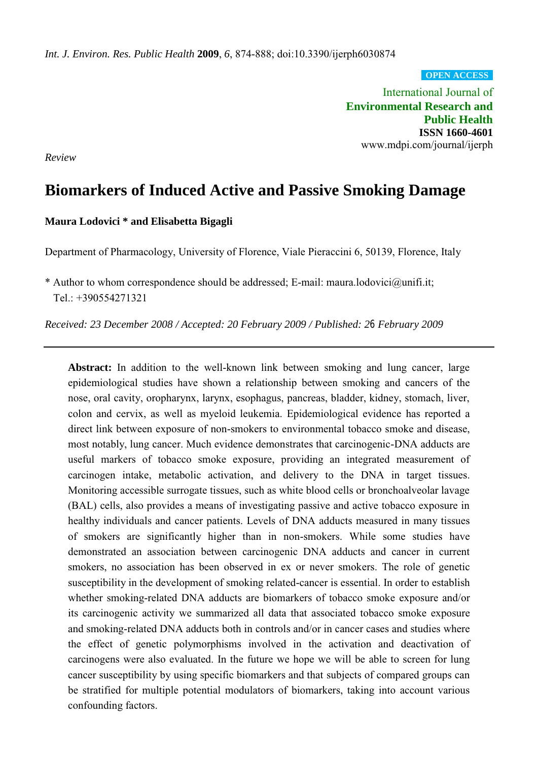**OPEN ACCESS**

International Journal of **Environmental Research and Public Health ISSN 1660-4601**  www.mdpi.com/journal/ijerph

*Review* 

# **Biomarkers of Induced Active and Passive Smoking Damage**

## **Maura Lodovici \* and Elisabetta Bigagli**

Department of Pharmacology, University of Florence, Viale Pieraccini 6, 50139, Florence, Italy

\* Author to whom correspondence should be addressed; E-mail: maura.lodovici@unifi.it; Tel.: +390554271321

*Received: 23 December 2008 / Accepted: 20 February 2009 / Published: 26 February 2009*

**Abstract:** In addition to the well-known link between smoking and lung cancer, large epidemiological studies have shown a relationship between smoking and cancers of the nose, oral cavity, oropharynx, larynx, esophagus, pancreas, bladder, kidney, stomach, liver, colon and cervix, as well as myeloid leukemia. Epidemiological evidence has reported a direct link between exposure of non-smokers to environmental tobacco smoke and disease, most notably, lung cancer. Much evidence demonstrates that carcinogenic-DNA adducts are useful markers of tobacco smoke exposure, providing an integrated measurement of carcinogen intake, metabolic activation, and delivery to the DNA in target tissues. Monitoring accessible surrogate tissues, such as white blood cells or bronchoalveolar lavage (BAL) cells, also provides a means of investigating passive and active tobacco exposure in healthy individuals and cancer patients. Levels of DNA adducts measured in many tissues of smokers are significantly higher than in non-smokers. While some studies have demonstrated an association between carcinogenic DNA adducts and cancer in current smokers, no association has been observed in ex or never smokers. The role of genetic susceptibility in the development of smoking related-cancer is essential. In order to establish whether smoking-related DNA adducts are biomarkers of tobacco smoke exposure and/or its carcinogenic activity we summarized all data that associated tobacco smoke exposure and smoking-related DNA adducts both in controls and/or in cancer cases and studies where the effect of genetic polymorphisms involved in the activation and deactivation of carcinogens were also evaluated. In the future we hope we will be able to screen for lung cancer susceptibility by using specific biomarkers and that subjects of compared groups can be stratified for multiple potential modulators of biomarkers, taking into account various confounding factors.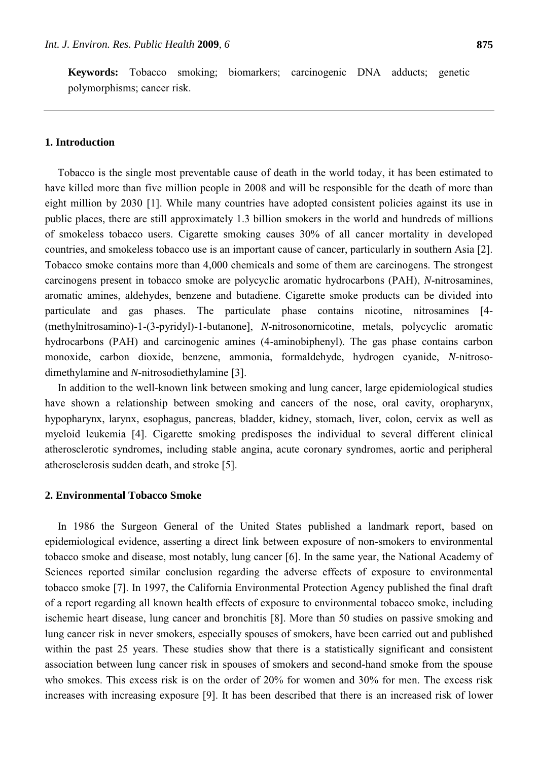**Keywords:** Tobacco smoking; biomarkers; carcinogenic DNA adducts; genetic polymorphisms; cancer risk.

#### **1. Introduction**

Tobacco is the single most preventable cause of death in the world today, it has been estimated to have killed more than five million people in 2008 and will be responsible for the death of more than eight million by 2030 [1]. While many countries have adopted consistent policies against its use in public places, there are still approximately 1.3 billion smokers in the world and hundreds of millions of smokeless tobacco users. Cigarette smoking causes 30% of all cancer mortality in developed countries, and smokeless tobacco use is an important cause of cancer, particularly in southern Asia [2]. Tobacco smoke contains more than 4,000 chemicals and some of them are carcinogens. The strongest carcinogens present in tobacco smoke are polycyclic aromatic hydrocarbons (PAH), *N*-nitrosamines, aromatic amines, aldehydes, benzene and butadiene. Cigarette smoke products can be divided into particulate and gas phases. The particulate phase contains nicotine, nitrosamines [4- (methylnitrosamino)-1-(3-pyridyl)-1-butanone], *N*-nitrosonornicotine, metals, polycyclic aromatic hydrocarbons (PAH) and carcinogenic amines (4-aminobiphenyl). The gas phase contains carbon monoxide, carbon dioxide, benzene, ammonia, formaldehyde, hydrogen cyanide, *N*-nitrosodimethylamine and *N*-nitrosodiethylamine [3].

In addition to the well-known link between smoking and lung cancer, large epidemiological studies have shown a relationship between smoking and cancers of the nose, oral cavity, oropharynx, hypopharynx, larynx, esophagus, pancreas, bladder, kidney, stomach, liver, colon, cervix as well as myeloid leukemia [4]. Cigarette smoking predisposes the individual to several different clinical atherosclerotic syndromes, including stable angina, acute coronary syndromes, aortic and peripheral atherosclerosis sudden death, and stroke [5].

## **2. Environmental Tobacco Smoke**

In 1986 the Surgeon General of the United States published a landmark report, based on epidemiological evidence, asserting a direct link between exposure of non-smokers to environmental tobacco smoke and disease, most notably, lung cancer [6]. In the same year, the National Academy of Sciences reported similar conclusion regarding the adverse effects of exposure to environmental tobacco smoke [7]. In 1997, the California Environmental Protection Agency published the final draft of a report regarding all known health effects of exposure to environmental tobacco smoke, including ischemic heart disease, lung cancer and bronchitis [8]. More than 50 studies on passive smoking and lung cancer risk in never smokers, especially spouses of smokers, have been carried out and published within the past 25 years. These studies show that there is a statistically significant and consistent association between lung cancer risk in spouses of smokers and second-hand smoke from the spouse who smokes. This excess risk is on the order of 20% for women and 30% for men. The excess risk increases with increasing exposure [9]. It has been described that there is an increased risk of lower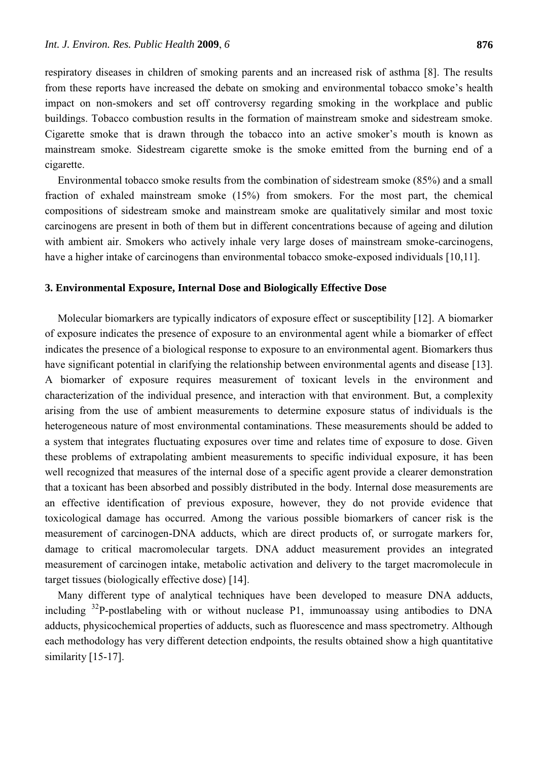respiratory diseases in children of smoking parents and an increased risk of asthma [8]. The results from these reports have increased the debate on smoking and environmental tobacco smoke's health impact on non-smokers and set off controversy regarding smoking in the workplace and public buildings. Tobacco combustion results in the formation of mainstream smoke and sidestream smoke. Cigarette smoke that is drawn through the tobacco into an active smoker's mouth is known as mainstream smoke. Sidestream cigarette smoke is the smoke emitted from the burning end of a cigarette.

Environmental tobacco smoke results from the combination of sidestream smoke (85%) and a small fraction of exhaled mainstream smoke (15%) from smokers. For the most part, the chemical compositions of sidestream smoke and mainstream smoke are qualitatively similar and most toxic carcinogens are present in both of them but in different concentrations because of ageing and dilution with ambient air. Smokers who actively inhale very large doses of mainstream smoke-carcinogens, have a higher intake of carcinogens than environmental tobacco smoke-exposed individuals [10,11].

## **3. Environmental Exposure, Internal Dose and Biologically Effective Dose**

Molecular biomarkers are typically indicators of exposure effect or susceptibility [12]. A biomarker of exposure indicates the presence of exposure to an environmental agent while a biomarker of effect indicates the presence of a biological response to exposure to an environmental agent. Biomarkers thus have significant potential in clarifying the relationship between environmental agents and disease [13]. A biomarker of exposure requires measurement of toxicant levels in the environment and characterization of the individual presence, and interaction with that environment. But, a complexity arising from the use of ambient measurements to determine exposure status of individuals is the heterogeneous nature of most environmental contaminations. These measurements should be added to a system that integrates fluctuating exposures over time and relates time of exposure to dose. Given these problems of extrapolating ambient measurements to specific individual exposure, it has been well recognized that measures of the internal dose of a specific agent provide a clearer demonstration that a toxicant has been absorbed and possibly distributed in the body. Internal dose measurements are an effective identification of previous exposure, however, they do not provide evidence that toxicological damage has occurred. Among the various possible biomarkers of cancer risk is the measurement of carcinogen-DNA adducts, which are direct products of, or surrogate markers for, damage to critical macromolecular targets. DNA adduct measurement provides an integrated measurement of carcinogen intake, metabolic activation and delivery to the target macromolecule in target tissues (biologically effective dose) [14].

Many different type of analytical techniques have been developed to measure DNA adducts, including  $32P$ -postlabeling with or without nuclease P1, immunoassay using antibodies to DNA adducts, physicochemical properties of adducts, such as fluorescence and mass spectrometry. Although each methodology has very different detection endpoints, the results obtained show a high quantitative similarity [15-17].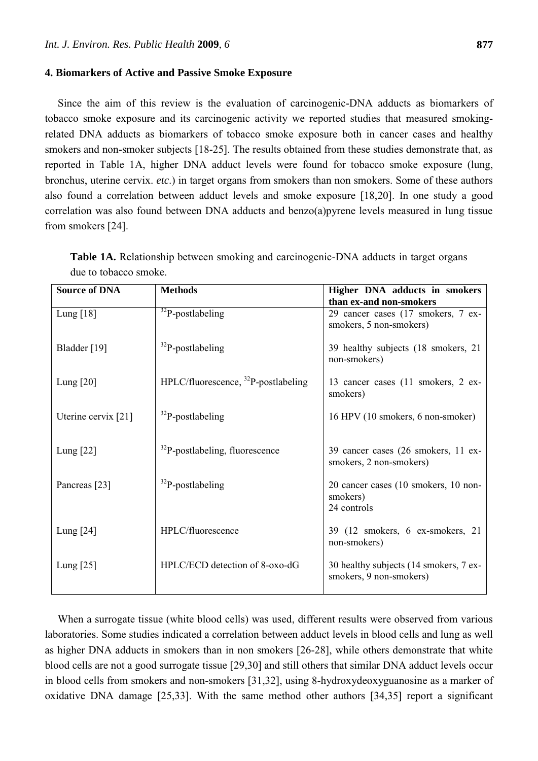## **4. Biomarkers of Active and Passive Smoke Exposure**

Since the aim of this review is the evaluation of carcinogenic-DNA adducts as biomarkers of tobacco smoke exposure and its carcinogenic activity we reported studies that measured smokingrelated DNA adducts as biomarkers of tobacco smoke exposure both in cancer cases and healthy smokers and non-smoker subjects [18-25]. The results obtained from these studies demonstrate that, as reported in Table 1A, higher DNA adduct levels were found for tobacco smoke exposure (lung, bronchus, uterine cervix. *etc*.) in target organs from smokers than non smokers. Some of these authors also found a correlation between adduct levels and smoke exposure [18,20]. In one study a good correlation was also found between DNA adducts and benzo(a)pyrene levels measured in lung tissue from smokers [24].

| <b>Source of DNA</b> | <b>Methods</b>                             | Higher DNA adducts in smokers                                     |  |
|----------------------|--------------------------------------------|-------------------------------------------------------------------|--|
|                      |                                            | than ex-and non-smokers                                           |  |
| Lung $[18]$          | $32P$ -postlabeling                        | 29 cancer cases (17 smokers, 7 ex-<br>smokers, 5 non-smokers)     |  |
| Bladder [19]         | $32P$ -postlabeling                        | 39 healthy subjects (18 smokers, 21<br>non-smokers)               |  |
| Lung $[20]$          | $HPLC/fluorescence, 32P-postlabeling$      | 13 cancer cases (11 smokers, 2 ex-<br>smokers)                    |  |
| Uterine cervix [21]  | $32P$ -postlabeling                        | 16 HPV (10 smokers, 6 non-smoker)                                 |  |
| Lung $[22]$          | <sup>32</sup> P-postlabeling, fluorescence | 39 cancer cases (26 smokers, 11 ex-<br>smokers, 2 non-smokers)    |  |
| Pancreas [23]        | $32P$ -postlabeling                        | 20 cancer cases (10 smokers, 10 non-<br>smokers)<br>24 controls   |  |
| Lung $[24]$          | HPLC/fluorescence                          | 39 (12 smokers, 6 ex-smokers, 21<br>non-smokers)                  |  |
| Lung $[25]$          | HPLC/ECD detection of 8-oxo-dG             | 30 healthy subjects (14 smokers, 7 ex-<br>smokers, 9 non-smokers) |  |

**Table 1A.** Relationship between smoking and carcinogenic-DNA adducts in target organs due to tobacco smoke.

When a surrogate tissue (white blood cells) was used, different results were observed from various laboratories. Some studies indicated a correlation between adduct levels in blood cells and lung as well as higher DNA adducts in smokers than in non smokers [26-28], while others demonstrate that white blood cells are not a good surrogate tissue [29,30] and still others that similar DNA adduct levels occur in blood cells from smokers and non-smokers [31,32], using 8-hydroxydeoxyguanosine as a marker of oxidative DNA damage [25,33]. With the same method other authors [34,35] report a significant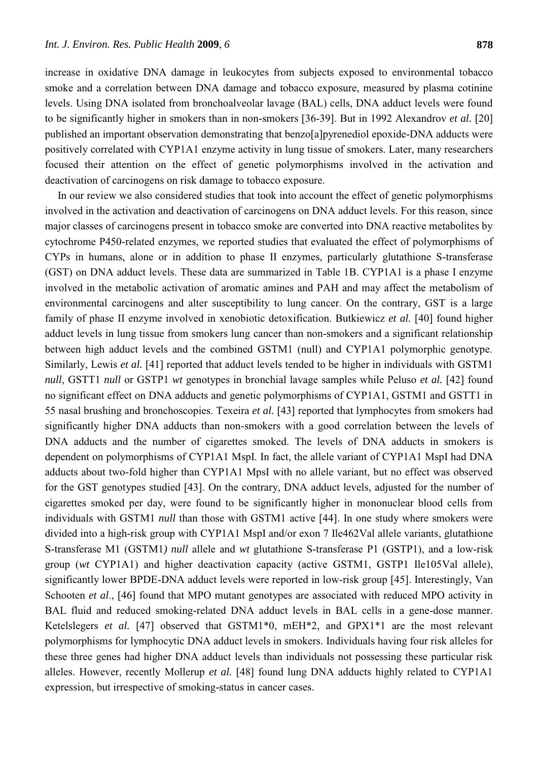increase in oxidative DNA damage in leukocytes from subjects exposed to environmental tobacco smoke and a correlation between DNA damage and tobacco exposure, measured by plasma cotinine levels. Using DNA isolated from bronchoalveolar lavage (BAL) cells, DNA adduct levels were found to be significantly higher in smokers than in non-smokers [36-39]. But in 1992 Alexandrov *et al.* [20] published an important observation demonstrating that benzo[a]pyrenediol epoxide-DNA adducts were positively correlated with CYP1A1 enzyme activity in lung tissue of smokers. Later, many researchers focused their attention on the effect of genetic polymorphisms involved in the activation and deactivation of carcinogens on risk damage to tobacco exposure.

In our review we also considered studies that took into account the effect of genetic polymorphisms involved in the activation and deactivation of carcinogens on DNA adduct levels. For this reason, since major classes of carcinogens present in tobacco smoke are converted into DNA reactive metabolites by cytochrome P450-related enzymes, we reported studies that evaluated the effect of polymorphisms of CYPs in humans, alone or in addition to phase II enzymes, particularly glutathione S-transferase (GST) on DNA adduct levels. These data are summarized in Table 1B. CYP1A1 is a phase I enzyme involved in the metabolic activation of aromatic amines and PAH and may affect the metabolism of environmental carcinogens and alter susceptibility to lung cancer. On the contrary, GST is a large family of phase II enzyme involved in xenobiotic detoxification. Butkiewicz *et al.* [40] found higher adduct levels in lung tissue from smokers lung cancer than non-smokers and a significant relationship between high adduct levels and the combined GSTM1 (null) and CYP1A1 polymorphic genotype. Similarly, Lewis *et al.* [41] reported that adduct levels tended to be higher in individuals with GSTM1 *null*, GSTT1 *null* or GSTP1 *wt* genotypes in bronchial lavage samples while Peluso *et al.* [42] found no significant effect on DNA adducts and genetic polymorphisms of CYP1A1, GSTM1 and GSTT1 in 55 nasal brushing and bronchoscopies. Texeira *et al.* [43] reported that lymphocytes from smokers had significantly higher DNA adducts than non-smokers with a good correlation between the levels of DNA adducts and the number of cigarettes smoked. The levels of DNA adducts in smokers is dependent on polymorphisms of CYP1A1 MspI. In fact, the allele variant of CYP1A1 MspI had DNA adducts about two-fold higher than CYP1A1 MpsI with no allele variant, but no effect was observed for the GST genotypes studied [43]. On the contrary, DNA adduct levels, adjusted for the number of cigarettes smoked per day, were found to be significantly higher in mononuclear blood cells from individuals with GSTM1 *null* than those with GSTM1 active [44]. In one study where smokers were divided into a high-risk group with CYP1A1 MspI and/or exon 7 Ile462Val allele variants, glutathione S-transferase M1 (GSTM1*) null* allele and *wt* glutathione S-transferase P1 (GSTP1), and a low-risk group (*wt* CYP1A1) and higher deactivation capacity (active GSTM1, GSTP1 Ile105Val allele), significantly lower BPDE-DNA adduct levels were reported in low-risk group [45]. Interestingly, Van Schooten *et al*., [46] found that MPO mutant genotypes are associated with reduced MPO activity in BAL fluid and reduced smoking-related DNA adduct levels in BAL cells in a gene-dose manner. Ketelslegers *et al.* [47] observed that GSTM1\*0, mEH\*2, and GPX1\*1 are the most relevant polymorphisms for lymphocytic DNA adduct levels in smokers. Individuals having four risk alleles for these three genes had higher DNA adduct levels than individuals not possessing these particular risk alleles. However, recently Mollerup *et al.* [48] found lung DNA adducts highly related to CYP1A1 expression, but irrespective of smoking-status in cancer cases.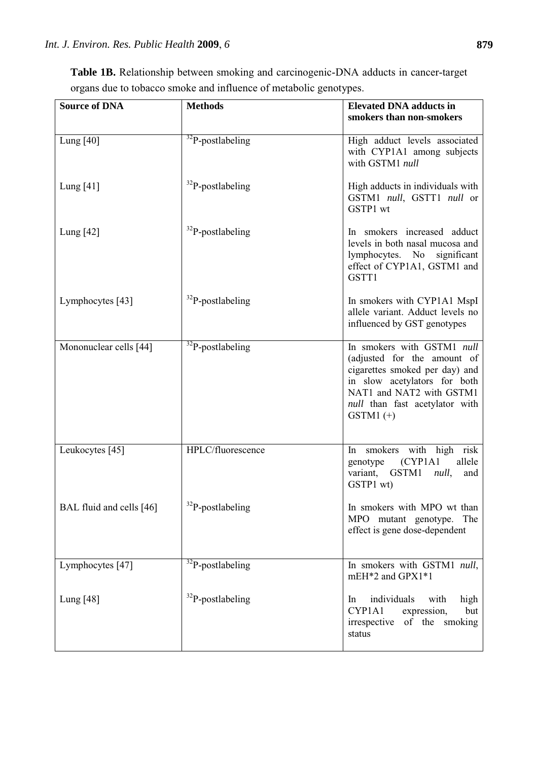**Table 1B.** Relationship between smoking and carcinogenic-DNA adducts in cancer-target organs due to tobacco smoke and influence of metabolic genotypes.

| <b>Source of DNA</b>     | <b>Methods</b>               | <b>Elevated DNA adducts in</b><br>smokers than non-smokers                                                                                                                                               |
|--------------------------|------------------------------|----------------------------------------------------------------------------------------------------------------------------------------------------------------------------------------------------------|
| Lung $[40]$              | $32P$ -postlabeling          | High adduct levels associated<br>with CYP1A1 among subjects<br>with GSTM1 null                                                                                                                           |
| Lung $[41]$              | $32P$ -postlabeling          | High adducts in individuals with<br>GSTM1 null, GSTT1 null or<br>GSTP1 wt                                                                                                                                |
| Lung $[42]$              | $32P$ -postlabeling          | In smokers increased adduct<br>levels in both nasal mucosa and<br>lymphocytes. No significant<br>effect of CYP1A1, GSTM1 and<br>GSTT1                                                                    |
| Lymphocytes [43]         | $32P$ -postlabeling          | In smokers with CYP1A1 MspI<br>allele variant. Adduct levels no<br>influenced by GST genotypes                                                                                                           |
| Mononuclear cells [44]   | $32P$ -postlabeling          | In smokers with GSTM1 null<br>(adjusted for the amount of<br>cigarettes smoked per day) and<br>in slow acetylators for both<br>NAT1 and NAT2 with GSTM1<br>null than fast acetylator with<br>GSTM1 $(+)$ |
| Leukocytes [45]          | HPLC/fluorescence            | In smokers with high risk<br>(CYP1A1<br>allele<br>genotype<br>GSTM1<br>variant,<br>null,<br>and<br>GSTP1 wt)                                                                                             |
| BAL fluid and cells [46] | <sup>32</sup> P-postlabeling | In smokers with MPO wt than<br>MPO mutant genotype.<br>The<br>effect is gene dose-dependent                                                                                                              |
| Lymphocytes [47]         | $32P$ -postlabeling          | In smokers with GSTM1 null,<br>mEH*2 and GPX1*1                                                                                                                                                          |
| Lung [48]                | $32P$ -postlabeling          | individuals<br>with<br>high<br>In<br>CYP1A1<br>expression,<br>but<br>of the smoking<br>irrespective<br>status                                                                                            |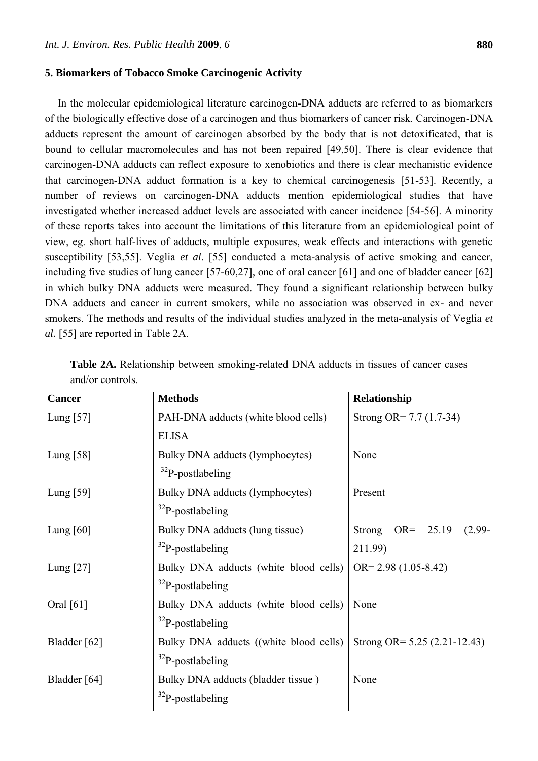#### **5. Biomarkers of Tobacco Smoke Carcinogenic Activity**

In the molecular epidemiological literature carcinogen-DNA adducts are referred to as biomarkers of the biologically effective dose of a carcinogen and thus biomarkers of cancer risk. Carcinogen-DNA adducts represent the amount of carcinogen absorbed by the body that is not detoxificated, that is bound to cellular macromolecules and has not been repaired [49,50]. There is clear evidence that carcinogen-DNA adducts can reflect exposure to xenobiotics and there is clear mechanistic evidence that carcinogen-DNA adduct formation is a key to chemical carcinogenesis [51-53]. Recently, a number of reviews on carcinogen-DNA adducts mention epidemiological studies that have investigated whether increased adduct levels are associated with cancer incidence [54-56]. A minority of these reports takes into account the limitations of this literature from an epidemiological point of view, eg. short half-lives of adducts, multiple exposures, weak effects and interactions with genetic susceptibility [53,55]. Veglia *et al*. [55] conducted a meta-analysis of active smoking and cancer, including five studies of lung cancer [57-60,27], one of oral cancer [61] and one of bladder cancer [62] in which bulky DNA adducts were measured. They found a significant relationship between bulky DNA adducts and cancer in current smokers, while no association was observed in ex- and never smokers. The methods and results of the individual studies analyzed in the meta-analysis of Veglia *et al.* [55] are reported in Table 2A.

| <b>Cancer</b> | <b>Methods</b>                         | Relationship                               |  |
|---------------|----------------------------------------|--------------------------------------------|--|
| Lung $[57]$   | PAH-DNA adducts (white blood cells)    | Strong OR= $7.7$ (1.7-34)                  |  |
|               | <b>ELISA</b>                           |                                            |  |
| Lung $[58]$   | Bulky DNA adducts (lymphocytes)        | None                                       |  |
|               | $32P$ -postlabeling                    |                                            |  |
| Lung $[59]$   | Bulky DNA adducts (lymphocytes)        | Present                                    |  |
|               | $32P$ -postlabeling                    |                                            |  |
| Lung $[60]$   | Bulky DNA adducts (lung tissue)        | $OR = 25.19$<br><b>Strong</b><br>$(2.99 -$ |  |
|               | $32P$ -postlabeling                    | 211.99)                                    |  |
| Lung $[27]$   | Bulky DNA adducts (white blood cells)  | $OR = 2.98(1.05 - 8.42)$                   |  |
|               | $32P$ -postlabeling                    |                                            |  |
| Oral [61]     | Bulky DNA adducts (white blood cells)  | None                                       |  |
|               | $32P$ -postlabeling                    |                                            |  |
| Bladder [62]  | Bulky DNA adducts ((white blood cells) | Strong OR= $5.25$ (2.21-12.43)             |  |
|               | $32P$ -postlabeling                    |                                            |  |
| Bladder [64]  | Bulky DNA adducts (bladder tissue)     | None                                       |  |
|               | $32P$ -postlabeling                    |                                            |  |

**Table 2A.** Relationship between smoking-related DNA adducts in tissues of cancer cases and/or controls.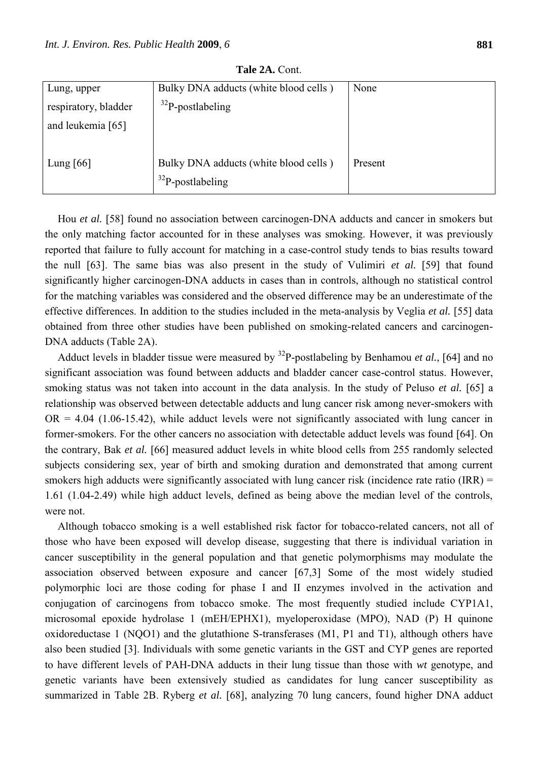| Lung, upper          | Bulky DNA adducts (white blood cells) | None    |
|----------------------|---------------------------------------|---------|
| respiratory, bladder | $32P$ -postlabeling                   |         |
| and leukemia [65]    |                                       |         |
|                      |                                       |         |
| Lung $[66]$          | Bulky DNA adducts (white blood cells) | Present |
|                      | $32P$ -postlabeling                   |         |

**Tale 2A.** Cont.

Hou *et al.* [58] found no association between carcinogen-DNA adducts and cancer in smokers but the only matching factor accounted for in these analyses was smoking. However, it was previously reported that failure to fully account for matching in a case-control study tends to bias results toward the null [63]. The same bias was also present in the study of Vulimiri *et al.* [59] that found significantly higher carcinogen-DNA adducts in cases than in controls, although no statistical control for the matching variables was considered and the observed difference may be an underestimate of the effective differences. In addition to the studies included in the meta-analysis by Veglia *et al.* [55] data obtained from three other studies have been published on smoking-related cancers and carcinogen-DNA adducts (Table 2A).

Adduct levels in bladder tissue were measured by <sup>32</sup>P-postlabeling by Benhamou *et al.*, [64] and no significant association was found between adducts and bladder cancer case-control status. However, smoking status was not taken into account in the data analysis. In the study of Peluso *et al.* [65] a relationship was observed between detectable adducts and lung cancer risk among never-smokers with  $OR = 4.04$  (1.06-15.42), while adduct levels were not significantly associated with lung cancer in former-smokers. For the other cancers no association with detectable adduct levels was found [64]. On the contrary, Bak *et al.* [66] measured adduct levels in white blood cells from 255 randomly selected subjects considering sex, year of birth and smoking duration and demonstrated that among current smokers high adducts were significantly associated with lung cancer risk (incidence rate ratio (IRR) = 1.61 (1.04-2.49) while high adduct levels, defined as being above the median level of the controls, were not.

Although tobacco smoking is a well established risk factor for tobacco-related cancers, not all of those who have been exposed will develop disease, suggesting that there is individual variation in cancer susceptibility in the general population and that genetic polymorphisms may modulate the association observed between exposure and cancer [67,3] Some of the most widely studied polymorphic loci are those coding for phase I and II enzymes involved in the activation and conjugation of carcinogens from tobacco smoke. The most frequently studied include CYP1A1, microsomal epoxide hydrolase 1 (mEH/EPHX1), myeloperoxidase (MPO), NAD (P) H quinone oxidoreductase 1 (NQO1) and the glutathione S-transferases (M1, P1 and T1), although others have also been studied [3]. Individuals with some genetic variants in the GST and CYP genes are reported to have different levels of PAH-DNA adducts in their lung tissue than those with *wt* genotype, and genetic variants have been extensively studied as candidates for lung cancer susceptibility as summarized in Table 2B. Ryberg *et al.* [68], analyzing 70 lung cancers, found higher DNA adduct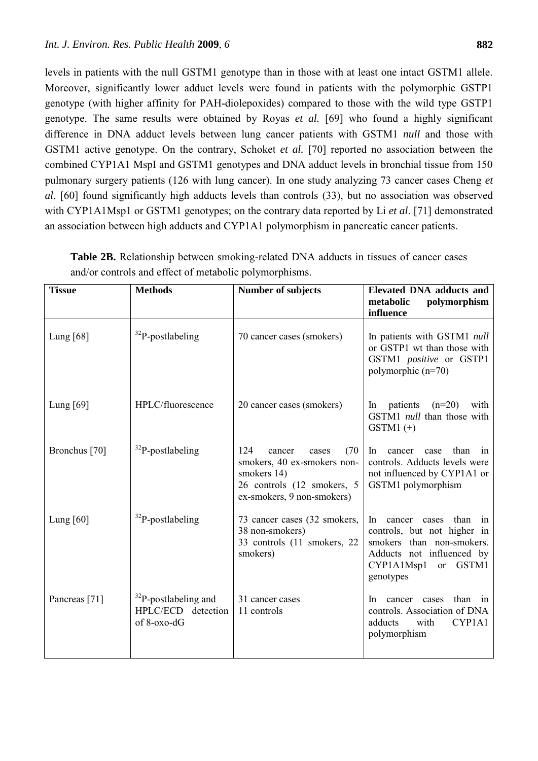levels in patients with the null GSTM1 genotype than in those with at least one intact GSTM1 allele. Moreover, significantly lower adduct levels were found in patients with the polymorphic GSTP1 genotype (with higher affinity for PAH-diolepoxides) compared to those with the wild type GSTP1 genotype. The same results were obtained by Royas *et al.* [69] who found a highly significant difference in DNA adduct levels between lung cancer patients with GSTM1 *null* and those with GSTM1 active genotype. On the contrary, Schoket *et al.* [70] reported no association between the combined CYP1A1 MspI and GSTM1 genotypes and DNA adduct levels in bronchial tissue from 150 pulmonary surgery patients (126 with lung cancer). In one study analyzing 73 cancer cases Cheng *et al*. [60] found significantly high adducts levels than controls (33), but no association was observed with CYP1A1Msp1 or GSTM1 genotypes; on the contrary data reported by Li *et al*. [71] demonstrated an association between high adducts and CYP1A1 polymorphism in pancreatic cancer patients.

| <b>Tissue</b> | <b>Methods</b>                                               | <b>Number of subjects</b>                                                                                                                | <b>Elevated DNA adducts and</b><br>metabolic<br>polymorphism<br>influence                                                                                  |
|---------------|--------------------------------------------------------------|------------------------------------------------------------------------------------------------------------------------------------------|------------------------------------------------------------------------------------------------------------------------------------------------------------|
| Lung $[68]$   | $32P$ -postlabeling                                          | 70 cancer cases (smokers)                                                                                                                | In patients with GSTM1 null<br>or GSTP1 wt than those with<br>GSTM1 positive or GSTP1<br>polymorphic $(n=70)$                                              |
| Lung $[69]$   | HPLC/fluorescence                                            | 20 cancer cases (smokers)                                                                                                                | patients<br>$(n=20)$<br>with<br>$\ln$<br>GSTM1 <i>null</i> than those with<br>GSTM1 $(+)$                                                                  |
| Bronchus [70] | $32P$ -postlabeling                                          | 124<br>cancer<br>(70)<br>cases<br>smokers, 40 ex-smokers non-<br>smokers 14)<br>26 controls (12 smokers, 5<br>ex-smokers, 9 non-smokers) | than<br>In<br>cancer<br>case<br>1n<br>controls. Adducts levels were<br>not influenced by CYP1A1 or<br>GSTM1 polymorphism                                   |
| Lung $[60]$   | $32P$ -postlabeling                                          | 73 cancer cases (32 smokers,<br>38 non-smokers)<br>33 controls (11 smokers, 22<br>smokers)                                               | cancer cases than<br>In<br>1n<br>controls, but not higher in<br>smokers than non-smokers.<br>Adducts not influenced by<br>CYP1A1Msp1 or GSTM1<br>genotypes |
| Pancreas [71] | $32P$ -postlabeling and<br>HPLC/ECD detection<br>of 8-oxo-dG | 31 cancer cases<br>11 controls                                                                                                           | than in<br>In cancer cases<br>controls. Association of DNA<br>with<br>CYP1A1<br>adducts<br>polymorphism                                                    |

**Table 2B.** Relationship between smoking-related DNA adducts in tissues of cancer cases and/or controls and effect of metabolic polymorphisms.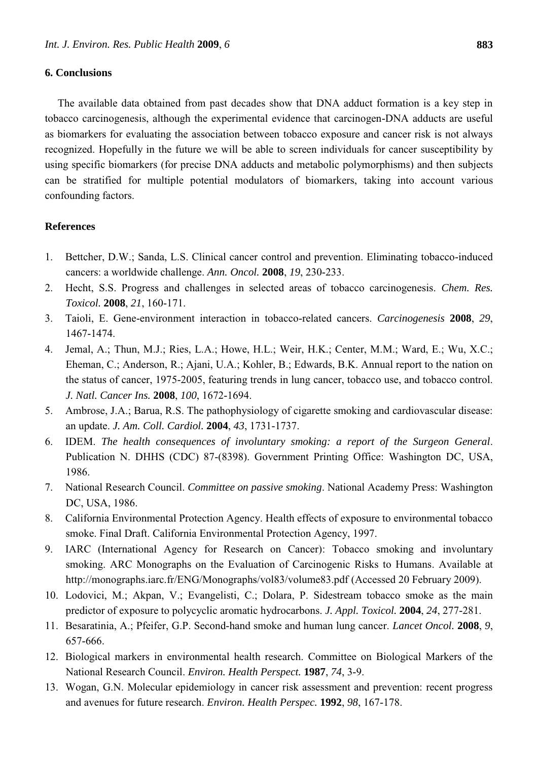## **6. Conclusions**

The available data obtained from past decades show that DNA adduct formation is a key step in tobacco carcinogenesis, although the experimental evidence that carcinogen-DNA adducts are useful as biomarkers for evaluating the association between tobacco exposure and cancer risk is not always recognized. Hopefully in the future we will be able to screen individuals for cancer susceptibility by using specific biomarkers (for precise DNA adducts and metabolic polymorphisms) and then subjects can be stratified for multiple potential modulators of biomarkers, taking into account various confounding factors.

## **References**

- 1. Bettcher, D.W.; Sanda, L.S. Clinical cancer control and prevention. Eliminating tobacco-induced cancers: a worldwide challenge. *Ann. Oncol.* **2008**, *19*, 230-233.
- 2. Hecht, S.S. Progress and challenges in selected areas of tobacco carcinogenesis. *Chem. Res. Toxicol.* **2008**, *21*, 160-171.
- 3. Taioli, E. Gene-environment interaction in tobacco-related cancers. *Carcinogenesis* **2008**, *29*, 1467-1474.
- 4. Jemal, A.; Thun, M.J.; Ries, L.A.; Howe, H.L.; Weir, H.K.; Center, M.M.; Ward, E.; Wu, X.C.; Eheman, C.; Anderson, R.; Ajani, U.A.; Kohler, B.; Edwards, B.K. Annual report to the nation on the status of cancer, 1975-2005, featuring trends in lung cancer, tobacco use, and tobacco control. *J. Natl. Cancer Ins.* **2008**, *100*, 1672-1694.
- 5. Ambrose, J.A.; Barua, R.S. The pathophysiology of cigarette smoking and cardiovascular disease: an update. *J. Am. Coll. Cardiol.* **2004**, *43*, 1731-1737.
- 6. IDEM. *The health consequences of involuntary smoking: a report of the Surgeon General*. Publication N. DHHS (CDC) 87-(8398). Government Printing Office: Washington DC, USA, 1986.
- 7. National Research Council. *Committee on passive smoking*. National Academy Press: Washington DC, USA, 1986.
- 8. California Environmental Protection Agency. Health effects of exposure to environmental tobacco smoke. Final Draft. California Environmental Protection Agency, 1997.
- 9. IARC (International Agency for Research on Cancer): Tobacco smoking and involuntary smoking. ARC Monographs on the Evaluation of Carcinogenic Risks to Humans. Available at http://monographs.iarc.fr/ENG/Monographs/vol83/volume83.pdf (Accessed 20 February 2009).
- 10. Lodovici, M.; Akpan, V.; Evangelisti, C.; Dolara, P. Sidestream tobacco smoke as the main predictor of exposure to polycyclic aromatic hydrocarbons. *J. Appl. Toxicol.* **2004**, *24*, 277-281.
- 11. Besaratinia, A.; Pfeifer, G.P. Second-hand smoke and human lung cancer. *Lancet Oncol.* **2008**, *9*, 657-666.
- 12. Biological markers in environmental health research. Committee on Biological Markers of the National Research Council. *Environ. Health Perspect.* **1987**, *74*, 3-9.
- 13. Wogan, G.N. Molecular epidemiology in cancer risk assessment and prevention: recent progress and avenues for future research. *Environ. Health Perspec.* **1992**, *98*, 167-178.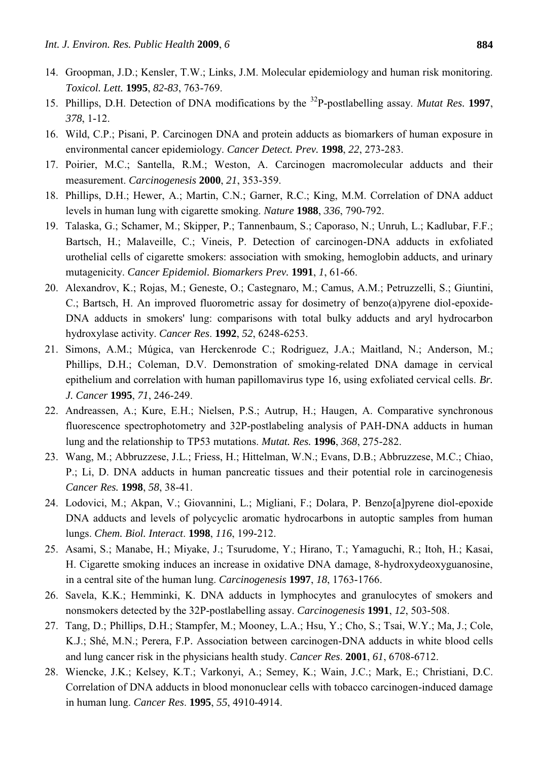- 14. Groopman, J.D.; Kensler, T.W.; Links, J.M. Molecular epidemiology and human risk monitoring. *Toxicol. Lett.* **1995**, *82-83*, 763-769.
- 15. Phillips, D.H. Detection of DNA modifications by the <sup>32</sup>P-postlabelling assay. *Mutat Res.* **1997**, *378*, 1-12.
- 16. Wild, C.P.; Pisani, P. Carcinogen DNA and protein adducts as biomarkers of human exposure in environmental cancer epidemiology. *Cancer Detect. Prev.* **1998**, *22*, 273-283.
- 17. Poirier, M.C.; Santella, R.M.; Weston, A. Carcinogen macromolecular adducts and their measurement. *Carcinogenesis* **2000**, *21*, 353-359.
- 18. Phillips, D.H.; Hewer, A.; Martin, C.N.; Garner, R.C.; King, M.M. Correlation of DNA adduct levels in human lung with cigarette smoking. *Nature* **1988**, *336*, 790-792.
- 19. Talaska, G.; Schamer, M.; Skipper, P.; Tannenbaum, S.; Caporaso, N.; Unruh, L.; Kadlubar, F.F.; Bartsch, H.; Malaveille, C.; Vineis, P. Detection of carcinogen-DNA adducts in exfoliated urothelial cells of cigarette smokers: association with smoking, hemoglobin adducts, and urinary mutagenicity. *Cancer Epidemiol. Biomarkers Prev.* **1991**, *1*, 61-66.
- 20. Alexandrov, K.; Rojas, M.; Geneste, O.; Castegnaro, M.; Camus, A.M.; Petruzzelli, S.; Giuntini, C.; Bartsch, H. An improved fluorometric assay for dosimetry of benzo(a)pyrene diol-epoxide-DNA adducts in smokers' lung: comparisons with total bulky adducts and aryl hydrocarbon hydroxylase activity. *Cancer Res*. **1992**, *52*, 6248-6253.
- 21. Simons, A.M.; Múgica, van Herckenrode C.; Rodriguez, J.A.; Maitland, N.; Anderson, M.; Phillips, D.H.; Coleman, D.V. Demonstration of smoking-related DNA damage in cervical epithelium and correlation with human papillomavirus type 16, using exfoliated cervical cells. *Br. J. Cancer* **1995**, *71*, 246-249.
- 22. Andreassen, A.; Kure, E.H.; Nielsen, P.S.; Autrup, H.; Haugen, A. Comparative synchronous fluorescence spectrophotometry and 32P-postlabeling analysis of PAH-DNA adducts in human lung and the relationship to TP53 mutations. *Mutat. Res.* **1996**, *368*, 275-282.
- 23. Wang, M.; Abbruzzese, J.L.; Friess, H.; Hittelman, W.N.; Evans, D.B.; Abbruzzese, M.C.; Chiao, P.; Li, D. DNA adducts in human pancreatic tissues and their potential role in carcinogenesis *Cancer Res.* **1998**, *58*, 38-41.
- 24. Lodovici, M.; Akpan, V.; Giovannini, L.; Migliani, F.; Dolara, P. Benzo[a]pyrene diol-epoxide DNA adducts and levels of polycyclic aromatic hydrocarbons in autoptic samples from human lungs. *Chem. Biol. Interact*. **1998**, *116*, 199-212.
- 25. Asami, S.; Manabe, H.; Miyake, J.; Tsurudome, Y.; Hirano, T.; Yamaguchi, R.; Itoh, H.; Kasai, H. Cigarette smoking induces an increase in oxidative DNA damage, 8-hydroxydeoxyguanosine, in a central site of the human lung. *Carcinogenesis* **1997**, *18*, 1763-1766.
- 26. Savela, K.K.; Hemminki, K. DNA adducts in lymphocytes and granulocytes of smokers and nonsmokers detected by the 32P-postlabelling assay. *Carcinogenesis* **1991**, *12*, 503-508.
- 27. Tang, D.; Phillips, D.H.; Stampfer, M.; Mooney, L.A.; Hsu, Y.; Cho, S.; Tsai, W.Y.; Ma, J.; Cole, K.J.; Shé, M.N.; Perera, F.P. Association between carcinogen-DNA adducts in white blood cells and lung cancer risk in the physicians health study. *Cancer Res*. **2001**, *61*, 6708-6712.
- 28. Wiencke, J.K.; Kelsey, K.T.; Varkonyi, A.; Semey, K.; Wain, J.C.; Mark, E.; Christiani, D.C. Correlation of DNA adducts in blood mononuclear cells with tobacco carcinogen-induced damage in human lung. *Cancer Res*. **1995**, *55*, 4910-4914.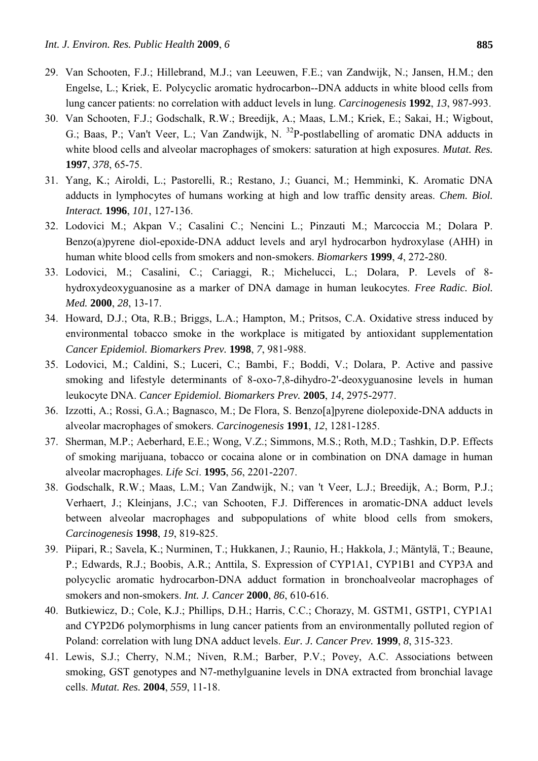- 29. Van Schooten, F.J.; Hillebrand, M.J.; van Leeuwen, F.E.; van Zandwijk, N.; Jansen, H.M.; den Engelse, L.; Kriek, E. Polycyclic aromatic hydrocarbon--DNA adducts in white blood cells from lung cancer patients: no correlation with adduct levels in lung. *Carcinogenesis* **1992**, *13*, 987-993.
- 30. Van Schooten, F.J.; Godschalk, R.W.; Breedijk, A.; Maas, L.M.; Kriek, E.; Sakai, H.; Wigbout, G.; Baas, P.; Van't Veer, L.; Van Zandwijk, N.  $^{32}$ P-postlabelling of aromatic DNA adducts in white blood cells and alveolar macrophages of smokers: saturation at high exposures. *Mutat. Res.* **1997**, *378*, 65-75.
- 31. Yang, K.; [Airoldi, L.](http://www.ncbi.nlm.nih.gov/sites/entrez?Db=pubmed&Cmd=Search&Term=%22Airoldi%20L%22%5BAuthor%5D&itool=EntrezSystem2.PEntrez.Pubmed.Pubmed_ResultsPanel.Pubmed_DiscoveryPanel.Pubmed_RVAbstractPlus); [Pastorelli, R.](http://www.ncbi.nlm.nih.gov/sites/entrez?Db=pubmed&Cmd=Search&Term=%22Pastorelli%20R%22%5BAuthor%5D&itool=EntrezSystem2.PEntrez.Pubmed.Pubmed_ResultsPanel.Pubmed_DiscoveryPanel.Pubmed_RVAbstractPlus); [Restano, J.](http://www.ncbi.nlm.nih.gov/sites/entrez?Db=pubmed&Cmd=Search&Term=%22Restano%20J%22%5BAuthor%5D&itool=EntrezSystem2.PEntrez.Pubmed.Pubmed_ResultsPanel.Pubmed_DiscoveryPanel.Pubmed_RVAbstractPlus); [Guanci, M.](http://www.ncbi.nlm.nih.gov/sites/entrez?Db=pubmed&Cmd=Search&Term=%22Guanci%20M%22%5BAuthor%5D&itool=EntrezSystem2.PEntrez.Pubmed.Pubmed_ResultsPanel.Pubmed_DiscoveryPanel.Pubmed_RVAbstractPlus); [Hemminki, K.](http://www.ncbi.nlm.nih.gov/sites/entrez?Db=pubmed&Cmd=Search&Term=%22Hemminki%20K%22%5BAuthor%5D&itool=EntrezSystem2.PEntrez.Pubmed.Pubmed_ResultsPanel.Pubmed_DiscoveryPanel.Pubmed_RVAbstractPlus) Aromatic DNA adducts in lymphocytes of humans working at high and low traffic density areas. *Chem. Biol. Interact.* **1996**, *101*, 127-136.
- 32. Lodovici M.; Akpan V.; Casalini C.; Nencini L.; Pinzauti M.; Marcoccia M.; Dolara P. Benzo(a)pyrene diol-epoxide-DNA adduct levels and aryl hydrocarbon hydroxylase (AHH) in human white blood cells from smokers and non-smokers. *Biomarkers* **1999**, *4*, 272-280.
- 33. Lodovici, M.; Casalini, C.; Cariaggi, R.; Michelucci, L.; Dolara, P. Levels of 8 hydroxydeoxyguanosine as a marker of DNA damage in human leukocytes. *Free Radic. Biol. Med.* **2000**, *28*, 13-17.
- 34. Howard, D.J.; [Ota, R.B.](http://www.ncbi.nlm.nih.gov/sites/entrez?Db=pubmed&Cmd=Search&Term=%22Ota%20RB%22%5BAuthor%5D&itool=EntrezSystem2.PEntrez.Pubmed.Pubmed_ResultsPanel.Pubmed_DiscoveryPanel.Pubmed_RVAbstractPlus); [Briggs, L.A.](http://www.ncbi.nlm.nih.gov/sites/entrez?Db=pubmed&Cmd=Search&Term=%22Briggs%20LA%22%5BAuthor%5D&itool=EntrezSystem2.PEntrez.Pubmed.Pubmed_ResultsPanel.Pubmed_DiscoveryPanel.Pubmed_RVAbstractPlus); [Hampton, M.](http://www.ncbi.nlm.nih.gov/sites/entrez?Db=pubmed&Cmd=Search&Term=%22Hampton%20M%22%5BAuthor%5D&itool=EntrezSystem2.PEntrez.Pubmed.Pubmed_ResultsPanel.Pubmed_DiscoveryPanel.Pubmed_RVAbstractPlus); [Pritsos, C.A.](http://www.ncbi.nlm.nih.gov/sites/entrez?Db=pubmed&Cmd=Search&Term=%22Pritsos%20CA%22%5BAuthor%5D&itool=EntrezSystem2.PEntrez.Pubmed.Pubmed_ResultsPanel.Pubmed_DiscoveryPanel.Pubmed_RVAbstractPlus) Oxidative stress induced by environmental tobacco smoke in the workplace is mitigated by antioxidant supplementation *Cancer Epidemiol. Biomarkers Prev.* **1998**, *7*, 981-988.
- 35. Lodovici, M.; Caldini, S.; Luceri, C.; Bambi, F.; Boddi, V.; Dolara, P. Active and passive smoking and lifestyle determinants of 8-oxo-7,8-dihydro-2'-deoxyguanosine levels in human leukocyte DNA. *Cancer Epidemiol. Biomarkers Prev.* **2005**, *14*, 2975-2977.
- 36. Izzotti, A.; Rossi, G.A.; Bagnasco, M.; De Flora, S. Benzo[a]pyrene diolepoxide-DNA adducts in alveolar macrophages of smokers. *Carcinogenesis* **1991**, *12*, 1281-1285.
- 37. Sherman, M.P.; Aeberhard, E.E.; Wong, V.Z.; Simmons, M.S.; Roth, M.D.; Tashkin, D.P. Effects of smoking marijuana, tobacco or cocaina alone or in combination on DNA damage in human alveolar macrophages. *Life Sci*. **1995**, *56*, 2201-2207.
- 38. Godschalk, R.W.; Maas, L.M.; Van Zandwijk, N.; van 't Veer, L.J.; Breedijk, A.; Borm, P.J.; Verhaert, J.; Kleinjans, J.C.; van Schooten, F.J. Differences in aromatic-DNA adduct levels between alveolar macrophages and subpopulations of white blood cells from smokers, *Carcinogenesis* **1998**, *19*, 819-825.
- 39. Piipari, R.; [Savela, K.](http://www.ncbi.nlm.nih.gov/sites/entrez?Db=pubmed&Cmd=Search&Term=%22Savela%20K%22%5BAuthor%5D&itool=EntrezSystem2.PEntrez.Pubmed.Pubmed_ResultsPanel.Pubmed_DiscoveryPanel.Pubmed_RVAbstractPlus); [Nurminen, T.](http://www.ncbi.nlm.nih.gov/sites/entrez?Db=pubmed&Cmd=Search&Term=%22Nurminen%20T%22%5BAuthor%5D&itool=EntrezSystem2.PEntrez.Pubmed.Pubmed_ResultsPanel.Pubmed_DiscoveryPanel.Pubmed_RVAbstractPlus); [Hukkanen, J.](http://www.ncbi.nlm.nih.gov/sites/entrez?Db=pubmed&Cmd=Search&Term=%22Hukkanen%20J%22%5BAuthor%5D&itool=EntrezSystem2.PEntrez.Pubmed.Pubmed_ResultsPanel.Pubmed_DiscoveryPanel.Pubmed_RVAbstractPlus); [Raunio, H.](http://www.ncbi.nlm.nih.gov/sites/entrez?Db=pubmed&Cmd=Search&Term=%22Raunio%20H%22%5BAuthor%5D&itool=EntrezSystem2.PEntrez.Pubmed.Pubmed_ResultsPanel.Pubmed_DiscoveryPanel.Pubmed_RVAbstractPlus); [Hakkola, J.](http://www.ncbi.nlm.nih.gov/sites/entrez?Db=pubmed&Cmd=Search&Term=%22Hakkola%20J%22%5BAuthor%5D&itool=EntrezSystem2.PEntrez.Pubmed.Pubmed_ResultsPanel.Pubmed_DiscoveryPanel.Pubmed_RVAbstractPlus); [Mäntylä, T.](http://www.ncbi.nlm.nih.gov/sites/entrez?Db=pubmed&Cmd=Search&Term=%22M%C3%A4ntyl%C3%A4%20T%22%5BAuthor%5D&itool=EntrezSystem2.PEntrez.Pubmed.Pubmed_ResultsPanel.Pubmed_DiscoveryPanel.Pubmed_RVAbstractPlus); [Beaune,](http://www.ncbi.nlm.nih.gov/sites/entrez?Db=pubmed&Cmd=Search&Term=%22Beaune%20P%22%5BAuthor%5D&itool=EntrezSystem2.PEntrez.Pubmed.Pubmed_ResultsPanel.Pubmed_DiscoveryPanel.Pubmed_RVAbstractPlus)  [P.](http://www.ncbi.nlm.nih.gov/sites/entrez?Db=pubmed&Cmd=Search&Term=%22Beaune%20P%22%5BAuthor%5D&itool=EntrezSystem2.PEntrez.Pubmed.Pubmed_ResultsPanel.Pubmed_DiscoveryPanel.Pubmed_RVAbstractPlus); [Edwards, R.J.](http://www.ncbi.nlm.nih.gov/sites/entrez?Db=pubmed&Cmd=Search&Term=%22Edwards%20RJ%22%5BAuthor%5D&itool=EntrezSystem2.PEntrez.Pubmed.Pubmed_ResultsPanel.Pubmed_DiscoveryPanel.Pubmed_RVAbstractPlus); [Boobis, A.R.](http://www.ncbi.nlm.nih.gov/sites/entrez?Db=pubmed&Cmd=Search&Term=%22Boobis%20AR%22%5BAuthor%5D&itool=EntrezSystem2.PEntrez.Pubmed.Pubmed_ResultsPanel.Pubmed_DiscoveryPanel.Pubmed_RVAbstractPlus); [Anttila, S](http://www.ncbi.nlm.nih.gov/sites/entrez?Db=pubmed&Cmd=Search&Term=%22Anttila%20S%22%5BAuthor%5D&itool=EntrezSystem2.PEntrez.Pubmed.Pubmed_ResultsPanel.Pubmed_DiscoveryPanel.Pubmed_RVAbstractPlus). Expression of CYP1A1, CYP1B1 and CYP3A and polycyclic aromatic hydrocarbon-DNA adduct formation in bronchoalveolar macrophages of smokers and non-smokers. *Int. J. Cancer* **2000**, *86*, 610-616.
- 40. Butkiewicz, D.; Cole, K.J.; Phillips, D.H.; Harris, C.C.; Chorazy, M. GSTM1, GSTP1, CYP1A1 and CYP2D6 polymorphisms in lung cancer patients from an environmentally polluted region of Poland: correlation with lung DNA adduct levels. *Eur. J. Cancer Prev.* **1999**, *8*, 315-323.
- 41. Lewis, S.J.; Cherry, N.M.; Niven, R.M.; Barber, P.V.; Povey, A.C. Associations between smoking, GST genotypes and N7-methylguanine levels in DNA extracted from bronchial lavage cells. *Mutat. Res.* **2004**, *559*, 11-18.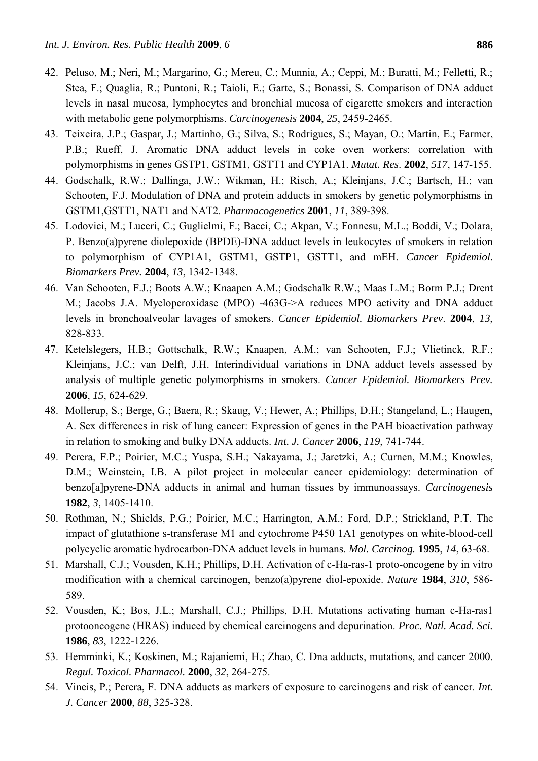- 42. Peluso, M.; Neri, M.; Margarino, G.; Mereu, C.; Munnia, A.; Ceppi, M.; Buratti, M.; Felletti, R.; Stea, F.; Quaglia, R.; Puntoni, R.; Taioli, E.; Garte, S.; Bonassi, S. Comparison of DNA adduct levels in nasal mucosa, lymphocytes and bronchial mucosa of cigarette smokers and interaction with metabolic gene polymorphisms. *Carcinogenesis* **2004**, *25*, 2459-2465.
- 43. Teixeira, J.P.; Gaspar, J.; Martinho, G.; Silva, S.; Rodrigues, S.; Mayan, O.; Martin, E.; Farmer, P.B.; Rueff, J. Aromatic DNA adduct levels in coke oven workers: correlation with polymorphisms in genes GSTP1, GSTM1, GSTT1 and CYP1A1. *Mutat. Res*. **2002**, *517*, 147-155.
- 44. Godschalk, R.W.; Dallinga, J.W.; Wikman, H.; Risch, A.; Kleinjans, J.C.; Bartsch, H.; van Schooten, F.J. Modulation of DNA and protein adducts in smokers by genetic polymorphisms in GSTM1,GSTT1, NAT1 and NAT2. *Pharmacogenetics* **2001**, *11*, 389-398.
- 45. Lodovici, M.; Luceri, C.; Guglielmi, F.; Bacci, C.; Akpan, V.; Fonnesu, M.L.; Boddi, V.; Dolara, P. Benzo(a)pyrene diolepoxide (BPDE)-DNA adduct levels in leukocytes of smokers in relation to polymorphism of CYP1A1, GSTM1, GSTP1, GSTT1, and mEH. *Cancer Epidemiol. Biomarkers Prev.* **2004**, *13*, 1342-1348.
- 46. Van Schooten, F.J.; Boots A.W.; Knaapen A.M.; Godschalk R.W.; Maas L.M.; Borm P.J.; Drent M.; Jacobs J.A. Myeloperoxidase (MPO) -463G->A reduces MPO activity and DNA adduct levels in bronchoalveolar lavages of smokers. *Cancer Epidemiol. Biomarkers Prev*. **2004**, *13*, 828-833.
- 47. Ketelslegers, H.B.; Gottschalk, R.W.; Knaapen, A.M.; van Schooten, F.J.; Vlietinck, R.F.; Kleinjans, J.C.; van Delft, J.H. Interindividual variations in DNA adduct levels assessed by analysis of multiple genetic polymorphisms in smokers. *Cancer Epidemiol. Biomarkers Prev.* **2006**, *15*, 624-629.
- 48. Mollerup, S.; Berge, G.; Baera, R.; Skaug, V.; Hewer, A.; Phillips, D.H.; Stangeland, L.; Haugen, A. Sex differences in risk of lung cancer: Expression of genes in the PAH bioactivation pathway in relation to smoking and bulky DNA adducts. *Int. J. Cancer* **2006**, *119*, 741-744.
- 49. Perera, F.P.; Poirier, M.C.; Yuspa, S.H.; Nakayama, J.; Jaretzki, A.; Curnen, M.M.; Knowles, D.M.; Weinstein, I.B. A pilot project in molecular cancer epidemiology: determination of benzo[a]pyrene-DNA adducts in animal and human tissues by immunoassays. *Carcinogenesis* **1982**, *3*, 1405-1410.
- 50. Rothman, N.; Shields, P.G.; Poirier, M.C.; Harrington, A.M.; Ford, D.P.; Strickland, P.T. The impact of glutathione s-transferase M1 and cytochrome P450 1A1 genotypes on white-blood-cell polycyclic aromatic hydrocarbon-DNA adduct levels in humans. *Mol. Carcinog.* **1995**, *14*, 63-68.
- 51. Marshall, C.J.; Vousden, K.H.; Phillips, D.H. Activation of c-Ha-ras-1 proto-oncogene by in vitro modification with a chemical carcinogen, benzo(a)pyrene diol-epoxide. *Nature* **1984**, *310*, 586- 589.
- 52. Vousden, K.; Bos, J.L.; Marshall, C.J.; Phillips, D.H. Mutations activating human c-Ha-ras1 protooncogene (HRAS) induced by chemical carcinogens and depurination. *Proc. Natl. Acad. Sci.*  **1986**, *83*, 1222-1226.
- 53. Hemminki, K.; Koskinen, M.; Rajaniemi, H.; Zhao, C. Dna adducts, mutations, and cancer 2000. *Regul. Toxicol. Pharmacol.* **2000**, *32*, 264-275.
- 54. Vineis, P.; Perera, F. DNA adducts as markers of exposure to carcinogens and risk of cancer. *Int. J. Cancer* **2000**, *88*, 325-328.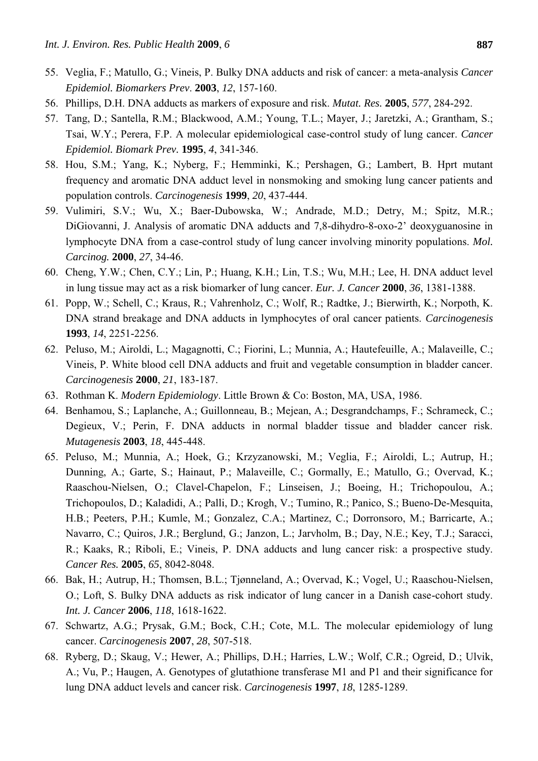- 55. Veglia, F.; Matullo, G.; Vineis, P. Bulky DNA adducts and risk of cancer: a meta-analysis *Cancer Epidemiol. Biomarkers Prev*. **2003**, *12*, 157-160.
- 56. Phillips, D.H. DNA adducts as markers of exposure and risk. *Mutat. Res.* **2005**, *577*, 284-292.
- 57. Tang, D.; Santella, R.M.; Blackwood, A.M.; Young, T.L.; Mayer, J.; Jaretzki, A.; Grantham, S.; Tsai, W.Y.; Perera, F.P. A molecular epidemiological case-control study of lung cancer. *Cancer Epidemiol. Biomark Prev.* **1995**, *4*, 341-346.
- 58. Hou, S.M.; Yang, K.; Nyberg, F.; Hemminki, K.; Pershagen, G.; Lambert, B. Hprt mutant frequency and aromatic DNA adduct level in nonsmoking and smoking lung cancer patients and population controls. *Carcinogenesis* **1999**, *20*, 437-444.
- 59. Vulimiri, S.V.; Wu, X.; Baer-Dubowska, W.; Andrade, M.D.; Detry, M.; Spitz, M.R.; DiGiovanni, J. Analysis of aromatic DNA adducts and 7,8-dihydro-8-oxo-2' deoxyguanosine in lymphocyte DNA from a case-control study of lung cancer involving minority populations. *Mol. Carcinog.* **2000**, *27*, 34-46.
- 60. Cheng, Y.W.; Chen, C.Y.; Lin, P.; Huang, K.H.; Lin, T.S.; Wu, M.H.; Lee, H. DNA adduct level in lung tissue may act as a risk biomarker of lung cancer. *Eur. J. Cancer* **2000**, *36*, 1381-1388.
- 61. Popp, W.; [Schell, C.](http://www.ncbi.nlm.nih.gov/sites/entrez?Db=pubmed&Cmd=Search&Term=%22Schell%20C%22%5BAuthor%5D&itool=EntrezSystem2.PEntrez.Pubmed.Pubmed_ResultsPanel.Pubmed_DiscoveryPanel.Pubmed_RVAbstractPlus); [Kraus, R.](http://www.ncbi.nlm.nih.gov/sites/entrez?Db=pubmed&Cmd=Search&Term=%22Kraus%20R%22%5BAuthor%5D&itool=EntrezSystem2.PEntrez.Pubmed.Pubmed_ResultsPanel.Pubmed_DiscoveryPanel.Pubmed_RVAbstractPlus); [Vahrenholz, C.](http://www.ncbi.nlm.nih.gov/sites/entrez?Db=pubmed&Cmd=Search&Term=%22Vahrenholz%20C%22%5BAuthor%5D&itool=EntrezSystem2.PEntrez.Pubmed.Pubmed_ResultsPanel.Pubmed_DiscoveryPanel.Pubmed_RVAbstractPlus); [Wolf, R.](http://www.ncbi.nlm.nih.gov/sites/entrez?Db=pubmed&Cmd=Search&Term=%22Wolf%20R%22%5BAuthor%5D&itool=EntrezSystem2.PEntrez.Pubmed.Pubmed_ResultsPanel.Pubmed_DiscoveryPanel.Pubmed_RVAbstractPlus); [Radtke, J.](http://www.ncbi.nlm.nih.gov/sites/entrez?Db=pubmed&Cmd=Search&Term=%22Radtke%20J%22%5BAuthor%5D&itool=EntrezSystem2.PEntrez.Pubmed.Pubmed_ResultsPanel.Pubmed_DiscoveryPanel.Pubmed_RVAbstractPlus); [Bierwirth, K.](http://www.ncbi.nlm.nih.gov/sites/entrez?Db=pubmed&Cmd=Search&Term=%22Bierwirth%20K%22%5BAuthor%5D&itool=EntrezSystem2.PEntrez.Pubmed.Pubmed_ResultsPanel.Pubmed_DiscoveryPanel.Pubmed_RVAbstractPlus); [Norpoth, K.](http://www.ncbi.nlm.nih.gov/sites/entrez?Db=pubmed&Cmd=Search&Term=%22Norpoth%20K%22%5BAuthor%5D&itool=EntrezSystem2.PEntrez.Pubmed.Pubmed_ResultsPanel.Pubmed_DiscoveryPanel.Pubmed_RVAbstractPlus) DNA strand breakage and DNA adducts in lymphocytes of oral cancer patients. *Carcinogenesis*  **1993**, *14*, 2251-2256.
- 62. Peluso, M.; Airoldi, L.; Magagnotti, C.; Fiorini, L.; Munnia, A.; Hautefeuille, A.; Malaveille, C.; Vineis, P. White blood cell DNA adducts and fruit and vegetable consumption in bladder cancer. *Carcinogenesis* **2000**, *21*, 183-187.
- 63. Rothman K. *Modern Epidemiology*. Little Brown & Co: Boston, MA, USA, 1986.
- 64. Benhamou, S.; Laplanche, A.; Guillonneau, B.; Mejean, A.; Desgrandchamps, F.; Schrameck, C.; Degieux, V.; Perin, F. DNA adducts in normal bladder tissue and bladder cancer risk. *Mutagenesis* **2003**, *18*, 445-448.
- 65. Peluso, M.; Munnia, A.; Hoek, G.; Krzyzanowski, M.; Veglia, F.; Airoldi, L.; Autrup, H.; Dunning, A.; Garte, S.; Hainaut, P.; Malaveille, C.; Gormally, E.; Matullo, G.; Overvad, K.; Raaschou-Nielsen, O.; Clavel-Chapelon, F.; Linseisen, J.; Boeing, H.; Trichopoulou, A.; Trichopoulos, D.; Kaladidi, A.; Palli, D.; Krogh, V.; Tumino, R.; Panico, S.; Bueno-De-Mesquita, H.B.; Peeters, P.H.; Kumle, M.; Gonzalez, C.A.; Martinez, C.; Dorronsoro, M.; Barricarte, A.; Navarro, C.; Quiros, J.R.; Berglund, G.; Janzon, L.; Jarvholm, B.; Day, N.E.; Key, T.J.; Saracci, R.; Kaaks, R.; Riboli, E.; Vineis, P. DNA adducts and lung cancer risk: a prospective study. *Cancer Res.* **2005**, *65*, 8042-8048.
- 66. Bak, H.; Autrup, H.; Thomsen, B.L.; Tjønneland, A.; Overvad, K.; Vogel, U.; Raaschou-Nielsen, O.; Loft, S. Bulky DNA adducts as risk indicator of lung cancer in a Danish case-cohort study. *Int. J. Cancer* **2006**, *118*, 1618-1622.
- 67. Schwartz, A.G.; Prysak, G.M.; Bock, C.H.; Cote, M.L. The molecular epidemiology of lung cancer. *Carcinogenesis* **2007**, *28*, 507-518.
- 68. Ryberg, D.; Skaug, V.; Hewer, A.; Phillips, D.H.; Harries, L.W.; Wolf, C.R.; Ogreid, D.; Ulvik, A.; Vu, P.; Haugen, A. Genotypes of glutathione transferase M1 and P1 and their significance for lung DNA adduct levels and cancer risk. *Carcinogenesis* **1997**, *18*, 1285-1289.